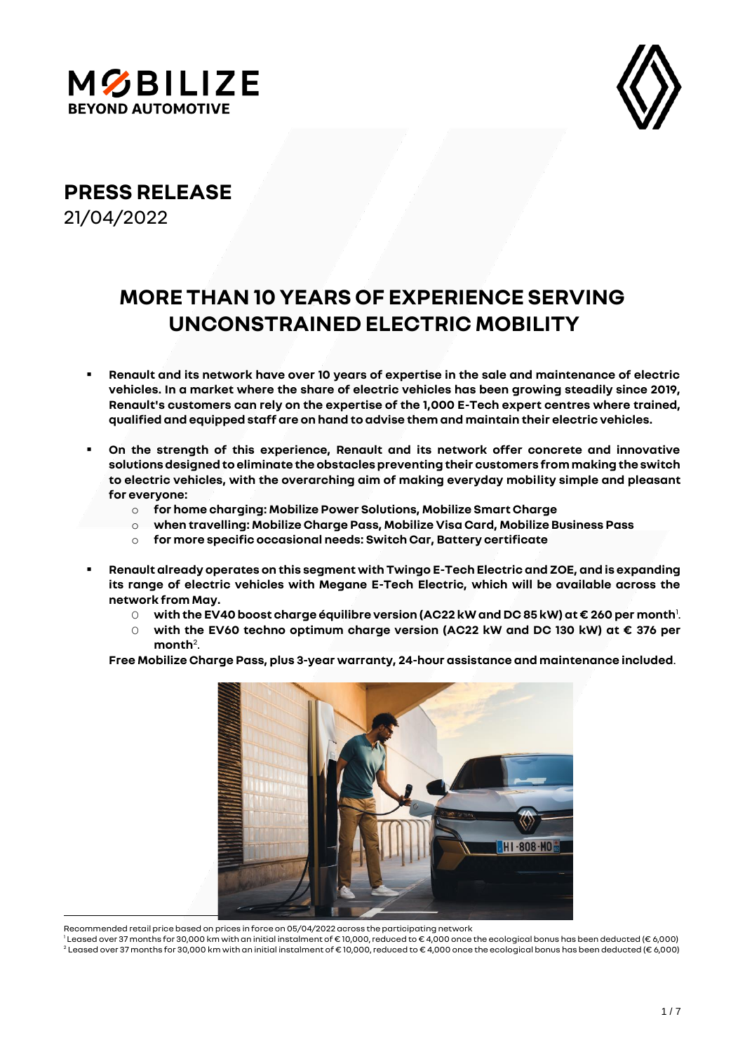



**PRESS RELEASE**

21/04/2022

# **MORE THAN 10 YEARS OF EXPERIENCE SERVING UNCONSTRAINED ELECTRIC MOBILITY**

- **Renault and its network have over 10 years of expertise in the sale and maintenance of electric vehicles. In a market where the share of electric vehicles has been growing steadily since 2019, Renault's customers can rely on the expertise of the 1,000 E-Tech expert centres where trained, qualified and equipped staff are on hand to advise them and maintain their electric vehicles.**
- On the strength of this experience, Renault and its network offer concrete and innovative **solutions designed to eliminate the obstacles preventing their customers from making the switch to electric vehicles, with the overarching aim of making everyday mobility simple and pleasant for everyone:**
	- o **for home charging: Mobilize Power Solutions, Mobilize Smart Charge**
	- o **when travelling: Mobilize Charge Pass, Mobilize Visa Card, Mobilize Business Pass**
	- o **for more specific occasional needs: Switch Car, Battery certificate**
- **Renault already operates on this segment with Twingo E-Tech Electric and ZOE, and is expanding its range of electric vehicles with Megane E-Tech Electric, which will be available across the network from May.** 
	- O **with the EV40 boost charge équilibre version (AC22 kW and DC 85 kW) at € 260 per month**<sup>1</sup> .
	- O **with the EV60 techno optimum charge version (AC22 kW and DC 130 kW) at € 376 per**  month<sup>2</sup>.

**Free Mobilize Charge Pass, plus 3-year warranty, 24-hour assistance and maintenance included**.



Recommended retail price based on prices in force on 05/04/2022 across the participating network

<sup>1</sup> Leased over 37 months for 30,000 km with an initial instalment of € 10,000, reduced to € 4,000 once the ecological bonus has been deducted (€ 6,000) <sup>2</sup> Leased over 37 months for 30,000 km with an initial instalment of € 10,000, reduced to € 4,000 once the ecological bonus has been deducted (€ 6,000)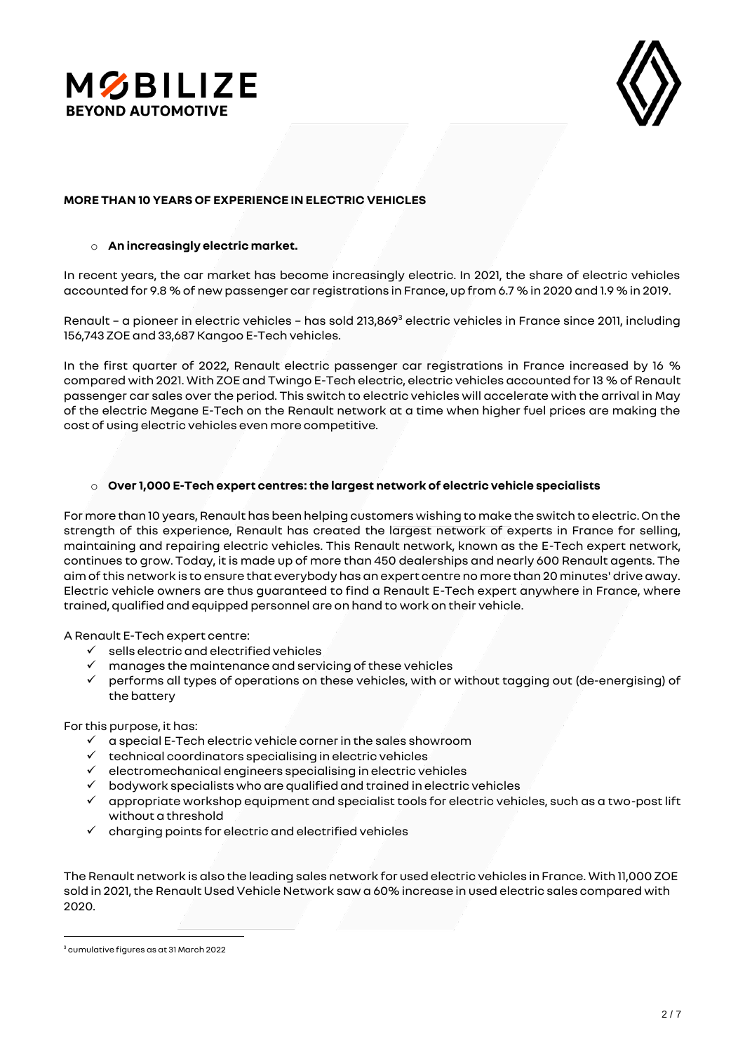



## **MORE THAN 10 YEARS OF EXPERIENCE IN ELECTRIC VEHICLES**

### o **An increasingly electric market.**

In recent years, the car market has become increasingly electric. In 2021, the share of electric vehicles accounted for 9.8 % of new passenger car registrations in France, up from 6.7 % in 2020 and 1.9 % in 2019.

Renault - a pioneer in electric vehicles - has sold 213,869<sup>3</sup> electric vehicles in France since 2011, including 156,743 ZOE and 33,687 Kangoo E-Tech vehicles.

In the first quarter of 2022, Renault electric passenger car registrations in France increased by 16 % compared with 2021. With ZOE and Twingo E-Tech electric, electric vehicles accounted for 13 % of Renault passenger car sales over the period. This switch to electric vehicles will accelerate with the arrival in May of the electric Megane E-Tech on the Renault network at a time when higher fuel prices are making the cost of using electric vehicles even more competitive.

## o **Over 1,000 E-Tech expert centres: the largest network of electric vehicle specialists**

For more than 10 years, Renault has been helping customers wishing to make the switch to electric. On the strength of this experience, Renault has created the largest network of experts in France for selling, maintaining and repairing electric vehicles. This Renault network, known as the E-Tech expert network, continues to grow. Today, it is made up of more than 450 dealerships and nearly 600 Renault agents. The aim of this network is to ensure that everybody has an expert centre no more than 20 minutes' drive away. Electric vehicle owners are thus guaranteed to find a Renault E-Tech expert anywhere in France, where trained, qualified and equipped personnel are on hand to work on their vehicle.

A Renault E-Tech expert centre:

- $\checkmark$  sells electric and electrified vehicles
- manages the maintenance and servicing of these vehicles
- performs all types of operations on these vehicles, with or without tagging out (de-energising) of the battery

For this purpose, it has:

- $\checkmark$  a special E-Tech electric vehicle corner in the sales showroom
- ✓ technical coordinators specialising in electric vehicles
- ✓ electromechanical engineers specialising in electric vehicles
- ✓ bodywork specialists who are qualified and trained in electric vehicles
- $\checkmark$  appropriate workshop equipment and specialist tools for electric vehicles, such as a two-post lift without a threshold
- $\checkmark$  charging points for electric and electrified vehicles

The Renault network is also the leading sales network for used electric vehicles in France. With 11,000 ZOE sold in 2021, the Renault Used Vehicle Network saw a 60% increase in used electric sales compared with 2020.

 $3$  cumulative figures as at 31 March 2022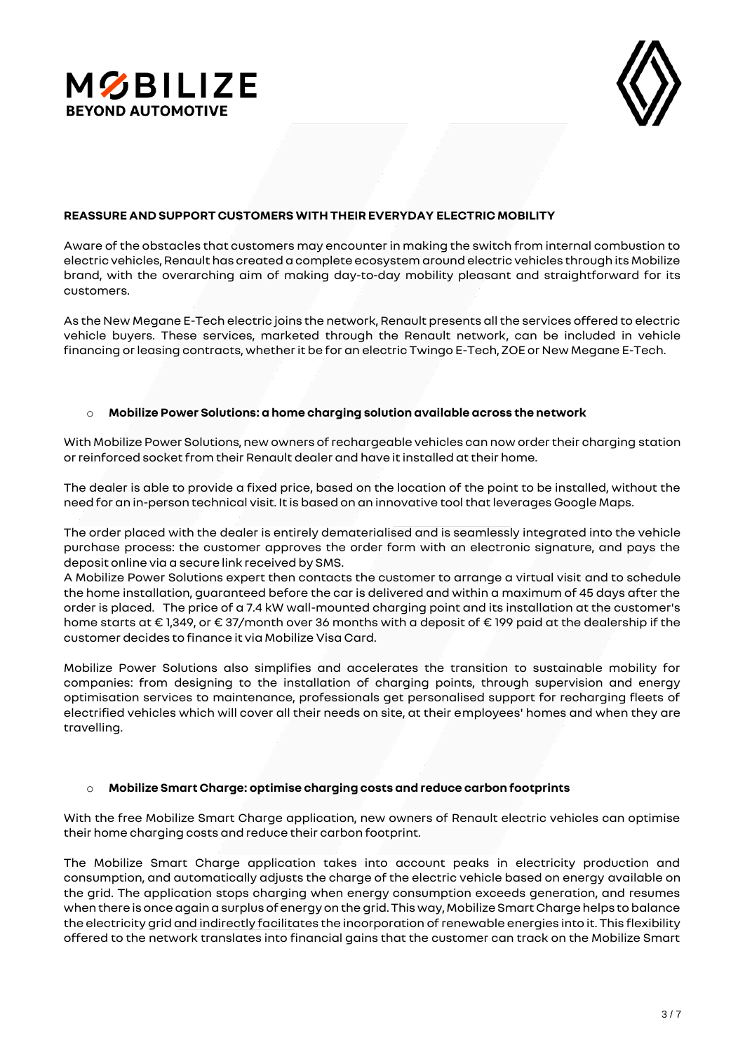



## **REASSURE AND SUPPORT CUSTOMERS WITH THEIR EVERYDAY ELECTRIC MOBILITY**

Aware of the obstacles that customers may encounter in making the switch from internal combustion to electric vehicles, Renault has created a complete ecosystem around electric vehicles through its Mobilize brand, with the overarching aim of making day-to-day mobility pleasant and straightforward for its customers.

As the New Megane E-Tech electric joins the network, Renault presents all the services offered to electric vehicle buyers. These services, marketed through the Renault network, can be included in vehicle financing or leasing contracts, whether it be for an electric Twingo E-Tech, ZOE or New Megane E-Tech.

### o **Mobilize Power Solutions: a home charging solution available across the network**

With Mobilize Power Solutions, new owners of rechargeable vehicles can now order their charging station or reinforced socketfrom their Renault dealer and have it installed at their home.

The dealer is able to provide a fixed price, based on the location of the point to be installed, without the need for an in-person technical visit. It is based on an innovative tool that leverages Google Maps.

The order placed with the dealer is entirely dematerialised and is seamlessly integrated into the vehicle purchase process: the customer approves the order form with an electronic signature, and pays the deposit online via a secure link received by SMS.

A Mobilize Power Solutions expert then contacts the customer to arrange a virtual visit and to schedule the home installation, guaranteed before the car is delivered and within a maximum of 45 days after the order is placed. The price of a 7.4 kW wall-mounted charging point and its installation at the customer's home starts at € 1,349, or € 37/month over 36 months with a deposit of € 199 paid at the dealership if the customer decides to finance it via Mobilize Visa Card.

Mobilize Power Solutions also simplifies and accelerates the transition to sustainable mobility for companies: from designing to the installation of charging points, through supervision and energy optimisation services to maintenance, professionals get personalised support for recharging fleets of electrified vehicles which will cover all their needs on site, at their employees' homes and when they are travelling.

### o **Mobilize Smart Charge: optimise charging costs and reduce carbon footprints**

With the free Mobilize Smart Charge application, new owners of Renault electric vehicles can optimise their home charging costs and reduce their carbon footprint.

The Mobilize Smart Charge application takes into account peaks in electricity production and consumption, and automatically adjusts the charge of the electric vehicle based on energy available on the grid. The application stops charging when energy consumption exceeds generation, and resumes when there is once again a surplus of energy on the grid. This way, Mobilize Smart Charge helps to balance the electricity grid and indirectly facilitates the incorporation of renewable energies into it. This flexibility offered to the network translates into financial gains that the customer can track on the Mobilize Smart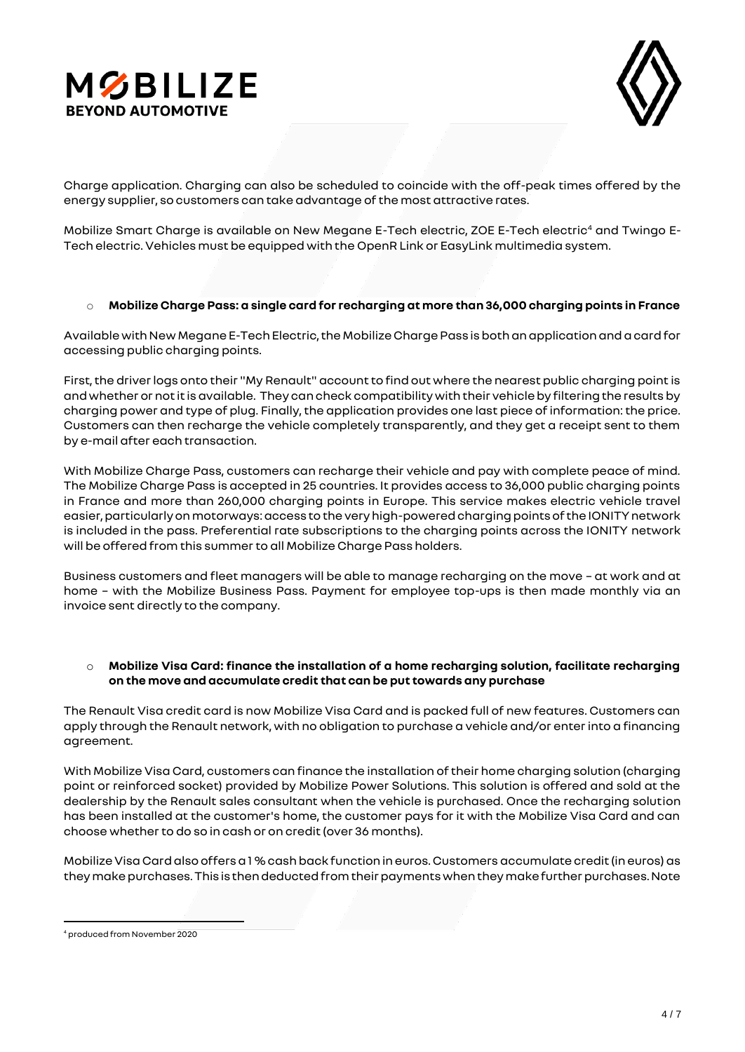



Charge application. Charging can also be scheduled to coincide with the off-peak times offered by the energy supplier, so customers can take advantage of the most attractive rates.

Mobilize Smart Charge is available on New Megane E-Tech electric, ZOE E-Tech electric<sup>4</sup> and Twinqo E-Tech electric. Vehicles must be equipped with the OpenR Link or EasyLink multimedia system.

### o **Mobilize Charge Pass: a single card for recharging at more than 36,000 charging points in France**

Available with New Megane E-Tech Electric, the Mobilize Charge Pass is both an application and a card for accessing public charging points.

First, the driver logs onto their "My Renault" account to find out where the nearest public charging point is and whether or not it is available. They can check compatibility with their vehicle by filtering the results by charging power and type of plug. Finally, the application provides one last piece of information: the price. Customers can then recharge the vehicle completely transparently, and they get a receipt sent to them by e-mail after each transaction.

With Mobilize Charge Pass, customers can recharge their vehicle and pay with complete peace of mind. The Mobilize Charge Pass is accepted in 25 countries. It provides access to 36,000 public charging points in France and more than 260,000 charging points in Europe. This service makes electric vehicle travel easier, particularly on motorways: access to the very high-powered charging points of the IONITY network is included in the pass. Preferential rate subscriptions to the charging points across the IONITY network will be offered from this summer to all Mobilize Charge Pass holders.

Business customers and fleet managers will be able to manage recharging on the move – at work and at home – with the Mobilize Business Pass. Payment for employee top-ups is then made monthly via an invoice sent directly to the company.

## o **Mobilize Visa Card: finance the installation of a home recharging solution, facilitate recharging on the move and accumulate credit that can be put towards any purchase**

The Renault Visa credit card is now Mobilize Visa Card and is packed full of new features. Customers can apply through the Renault network, with no obligation to purchase a vehicle and/or enter into a financing agreement.

With Mobilize Visa Card, customers can finance the installation of their home charging solution (charging point or reinforced socket) provided by Mobilize Power Solutions. This solution is offered and sold at the dealership by the Renault sales consultant when the vehicle is purchased. Once the recharging solution has been installed at the customer's home, the customer pays for it with the Mobilize Visa Card and can choose whether to do so in cash or on credit (over 36 months).

Mobilize Visa Card also offers a 1 % cash back function in euros. Customers accumulate credit (in euros) as they make purchases. This is then deducted from their payments when they make further purchases. Note

<sup>4</sup> produced from November 2020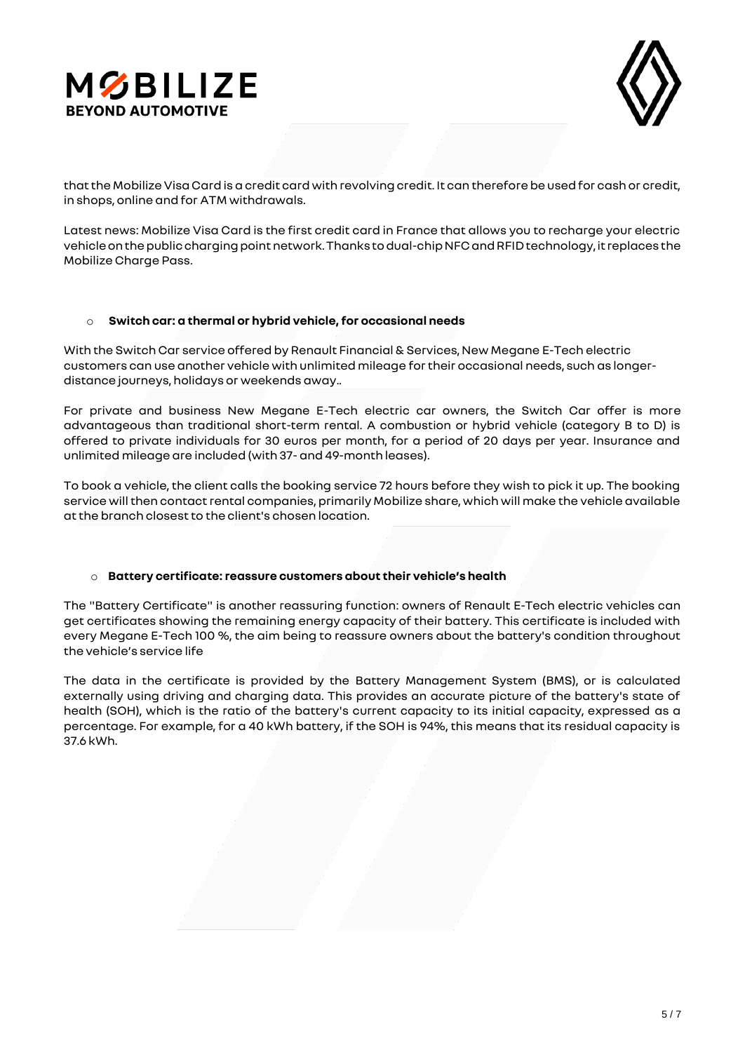



that the Mobilize Visa Card is a credit card with revolving credit. It can therefore be used for cash or credit, in shops, online and for ATM withdrawals.

Latest news: Mobilize Visa Card is the first credit card in France that allows you to recharge your electric vehicle on the public charging point network. Thanks to dual-chip NFC and RFID technology, it replaces the Mobilize Charge Pass.

## o **Switch car: a thermal or hybrid vehicle, for occasional needs**

With the Switch Car service offered by Renault Financial & Services, New Megane E-Tech electric customers can use another vehicle with unlimited mileage for their occasional needs, such as longerdistance journeys, holidays or weekends away..

For private and business New Megane E-Tech electric car owners, the Switch Car offer is more advantageous than traditional short-term rental. A combustion or hybrid vehicle (category B to D) is offered to private individuals for 30 euros per month, for a period of 20 days per year. Insurance and unlimited mileage are included (with 37- and 49-month leases).

To book a vehicle, the client calls the booking service 72 hours before they wish to pick it up. The booking service will then contact rental companies, primarily Mobilize share, which will make the vehicle available at the branch closest to the client's chosen location.

# o **Battery certificate: reassure customers about their vehicle's health**

The "Battery Certificate" is another reassuring function: owners of Renault E-Tech electric vehicles can get certificates showing the remaining energy capacity of their battery. This certificate is included with every Megane E-Tech 100 %, the aim being to reassure owners about the battery's condition throughout the vehicle's service life

The data in the certificate is provided by the Battery Management System (BMS), or is calculated externally using driving and charging data. This provides an accurate picture of the battery's state of health (SOH), which is the ratio of the battery's current capacity to its initial capacity, expressed as a percentage. For example, for a 40 kWh battery, if the SOH is 94%, this means that its residual capacity is 37.6 kWh.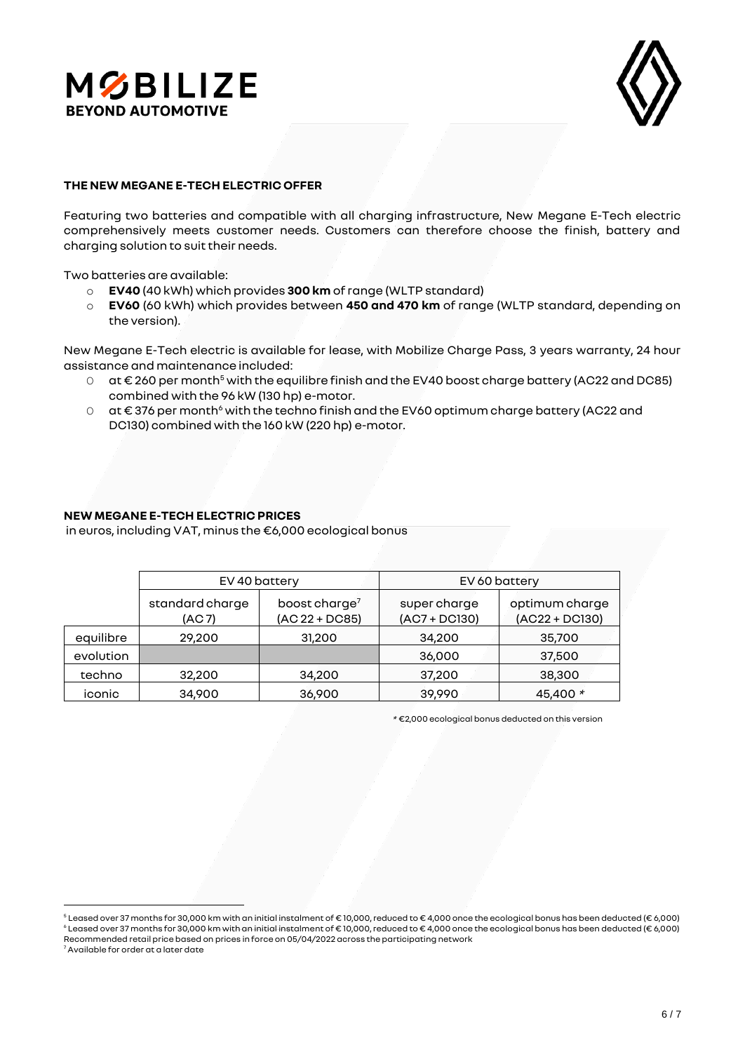



#### **THE NEW MEGANE E-TECH ELECTRIC OFFER**

Featuring two batteries and compatible with all charging infrastructure, New Megane E-Tech electric comprehensively meets customer needs. Customers can therefore choose the finish, battery and charging solution to suit their needs.

Two batteries are available:

- o **EV40** (40 kWh) which provides **300 km** of range (WLTP standard)
- o **EV60** (60 kWh) which provides between **450 and 470 km** of range (WLTP standard, depending on the version).

New Megane E-Tech electric is available for lease, with Mobilize Charge Pass, 3 years warranty, 24 hour assistance and maintenance included:

- O at € 260 per month<sup>5</sup> with the equilibre finish and the EV40 boost charge battery (AC22 and DC85) combined with the 96 kW (130 hp) e-motor.
- O at €376 per month<sup>6</sup> with the techno finish and the EV60 optimum charge battery (AC22 and DC130) combined with the 160 kW (220 hp) e-motor.

### **NEW MEGANE E-TECH ELECTRIC PRICES**

in euros, including VAT, minus the €6,000 ecological bonus

|           | EV 40 battery             |                                               | EV 60 battery                   |                                    |
|-----------|---------------------------|-----------------------------------------------|---------------------------------|------------------------------------|
|           | standard charge<br>(AC 7) | boost charge <sup>7</sup><br>$(AC 22 + DC85)$ | super charge<br>$(AC7 + DC130)$ | optimum charge<br>$(AC22 + DC130)$ |
| equilibre | 29,200                    | 31,200                                        | 34,200                          | 35,700                             |
| evolution |                           |                                               | 36,000                          | 37,500                             |
| techno    | 32,200                    | 34,200                                        | 37,200                          | 38,300                             |
| iconic    | 34,900                    | 36,900                                        | 39,990                          | 45,400 *                           |

\* €2,000 ecological bonus deducted on this version

<sup>5</sup> Leased over 37 months for 30,000 km with an initial instalment of € 10,000, reduced to € 4,000 once the ecological bonus has been deducted (€ 6,000) <sup>6</sup> Leased over 37 months for 30,000 km with an initial instalment of € 10,000, reduced to € 4,000 once the ecological bonus has been deducted (€ 6,000) Recommended retail price based on prices in force on 05/04/2022 across the participating network

<sup>7</sup> Available for order at a later date